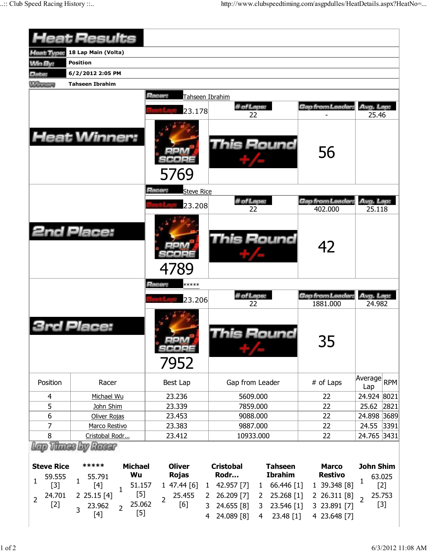|                                                 | <b>Heat Results</b>                                                                                                                                   |                                                                             |                                                                                                                                                       |                                                              |                                                 |
|-------------------------------------------------|-------------------------------------------------------------------------------------------------------------------------------------------------------|-----------------------------------------------------------------------------|-------------------------------------------------------------------------------------------------------------------------------------------------------|--------------------------------------------------------------|-------------------------------------------------|
| Heat Type:                                      | 18 Lap Main (Volta)                                                                                                                                   |                                                                             |                                                                                                                                                       |                                                              |                                                 |
| <b>Min By:</b>                                  | <b>Position</b>                                                                                                                                       |                                                                             |                                                                                                                                                       |                                                              |                                                 |
| Date:                                           | 6/2/2012 2:05 PM                                                                                                                                      |                                                                             |                                                                                                                                                       |                                                              |                                                 |
| <b>Winners</b>                                  | <b>Tahseen Ibrahim</b>                                                                                                                                |                                                                             |                                                                                                                                                       |                                                              |                                                 |
|                                                 | <b>Heat Winner:</b>                                                                                                                                   | Racer:<br>Tahseen Ibrahim<br>23.178                                         | Gap from Leader<br>56                                                                                                                                 | Avg. Lap:<br>25.46                                           |                                                 |
|                                                 |                                                                                                                                                       | 5769<br>Racer:<br><b>Steve Rice</b><br>23.208                               | # of Laps:<br>22                                                                                                                                      | Gap from Leader.<br>402.000                                  | Avg. Lap:<br>25.118                             |
|                                                 | <b>2nd Place:</b>                                                                                                                                     | 4789                                                                        | <b>This Round</b>                                                                                                                                     | 42                                                           |                                                 |
|                                                 |                                                                                                                                                       | Racer:<br>*****<br>23.206                                                   | # of Laps:                                                                                                                                            | Gap from Leader:                                             | Avg. Lap:                                       |
|                                                 | Place:                                                                                                                                                | 7952                                                                        | 22<br>his Round                                                                                                                                       | 1881.000<br>35                                               | 24.982                                          |
| Position                                        | Racer                                                                                                                                                 | Best Lap                                                                    | Gap from Leader                                                                                                                                       | # of Laps                                                    | Average<br><b>RPM</b><br>Lap                    |
| $\overline{4}$                                  | Michael Wu                                                                                                                                            | 23.236                                                                      | 5609.000                                                                                                                                              | 22                                                           | 24.924 8021                                     |
| 5                                               | John Shim                                                                                                                                             | 23.339                                                                      | 7859.000                                                                                                                                              | 22                                                           | 25.62<br>2821                                   |
| 6                                               | Oliver Rojas                                                                                                                                          | 23.453                                                                      | 9088.000                                                                                                                                              | 22                                                           | 24.898 3689                                     |
| 7                                               | Marco Restivo                                                                                                                                         | 23.383                                                                      | 9887.000                                                                                                                                              | 22                                                           | 24.55<br>$ 3391$                                |
| 8                                               | Cristobal Rodr                                                                                                                                        | 23.412                                                                      | 10933.000                                                                                                                                             | 22                                                           | 24.765 3431                                     |
| <b>Steve Rice</b>                               | Racer<br>*****<br><b>Michael</b>                                                                                                                      | <b>Oliver</b>                                                               | <b>Cristobal</b><br><b>Tahseen</b>                                                                                                                    | <b>Marco</b>                                                 | <b>John Shim</b>                                |
| 59.555                                          | Wu<br>55.791                                                                                                                                          | <b>Rojas</b>                                                                | <b>Ibrahim</b><br>Rodr                                                                                                                                | <b>Restivo</b>                                               | 63.025                                          |
| 1<br>$[3]$<br>24.701<br>$\overline{2}$<br>$[2]$ | $\mathbf{1}$<br>$[4]$<br>51.157<br>$\mathbf{1}$<br>$[5]$<br>$2$ 25.15 $[4]$<br>25.062<br>23.962<br>$\overline{2}$<br>$\overline{3}$<br>$[5]$<br>$[4]$ | 147.44[6]<br>$\mathbf{1}$<br>25.455<br>2<br>$\overline{2}$<br>[6]<br>3<br>4 | 66.446 [1]<br>42.957 [7]<br>$\mathbf{1}$<br>26.209 [7]<br>25.268 [1]<br>$\mathbf{2}$<br>24.655 [8]<br>23.546 [1]<br>3<br>24.089 [8]<br>23.48 [1]<br>4 | 1 39.348 [8]<br>2 26.311 [8]<br>3 23.891 [7]<br>4 23.648 [7] | 1<br>$[2]$<br>25.753<br>$\overline{2}$<br>$[3]$ |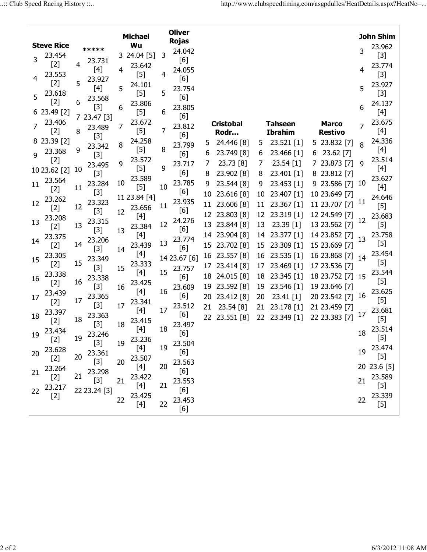| <b>Oliver</b><br><b>Michael</b> |                                                                                                                                                                |                |                 |    |                 |    |               |          |                          |          |                         |                                | John Shim      |                                                                                                                                                                                                                      |
|---------------------------------|----------------------------------------------------------------------------------------------------------------------------------------------------------------|----------------|-----------------|----|-----------------|----|---------------|----------|--------------------------|----------|-------------------------|--------------------------------|----------------|----------------------------------------------------------------------------------------------------------------------------------------------------------------------------------------------------------------------|
|                                 | <b>Steve Rice</b>                                                                                                                                              |                |                 |    | Wu              |    | <b>Rojas</b>  |          |                          |          |                         |                                |                | 23.962                                                                                                                                                                                                               |
| 3                               | 23.454                                                                                                                                                         |                | *****<br>23.731 |    | 3 24.04 [5]     | 3  | 24.042<br>[6] |          |                          |          |                         |                                | 3              | $[3]$                                                                                                                                                                                                                |
|                                 | $[2]$<br>23.553                                                                                                                                                | $\overline{4}$ | [4]             | 4  | 23.642<br>$[5]$ | 4  | 24.055        |          |                          |          |                         |                                | 4              | 23.774<br>$[3]$                                                                                                                                                                                                      |
| 4                               | $[2]$                                                                                                                                                          | 5              | 23.927<br>[4]   | 5  | 24.101          |    | [6]<br>23.754 |          |                          |          |                         |                                | 5              | 23.927                                                                                                                                                                                                               |
| 5                               | 23.618                                                                                                                                                         |                | 23.568          |    | $[5]$           | 5  | [6]           |          |                          |          |                         |                                |                | $[3]$                                                                                                                                                                                                                |
|                                 | $[2]$<br>6 23.49 [2]                                                                                                                                           | 6              | $[3]$           | 6  | 23.806<br>$[5]$ | 6  | 23.805        |          |                          |          |                         |                                | 6              | 24.137<br>$[4]$                                                                                                                                                                                                      |
|                                 | 23.406                                                                                                                                                         |                | 7 23.47 [3]     |    | 23.672          |    | [6]           |          |                          |          |                         |                                |                | 23.675                                                                                                                                                                                                               |
| 7                               |                                                                                                                                                                |                | 23.489          | 7  |                 | 7  | 23.812        |          | <b>Cristobal</b>         |          | <b>Tahseen</b>          | <b>Marco</b>                   | $\overline{7}$ |                                                                                                                                                                                                                      |
|                                 | $[2]$                                                                                                                                                          | 8              | $[3]$           |    | $[5]$           |    | [6]           |          | Rodr                     |          | <b>Ibrahim</b>          | <b>Restivo</b>                 |                | $[4]$                                                                                                                                                                                                                |
|                                 | 8 23.39 [2]<br>23.368                                                                                                                                          | 9              | 23.342          | 8  | 24.258<br>$[5]$ | 8  | 23.799        | 5.       | 24.446 [8]               | 5        | $23.521$ [1]            | 23.832 [7]<br>5                | 8              | 24.336<br>[4]                                                                                                                                                                                                        |
| 9                               |                                                                                                                                                                |                | $[3]$           |    | 23.572          |    | [6]           | 6        | 23.749 [8]               | 6        | 23.466 [1]              | 23.62 [7]<br>6                 |                | 23.514                                                                                                                                                                                                               |
|                                 | $[2]$<br>10 23.62 [2]                                                                                                                                          | 10             | 23.495          | 9  | $[5]$           | 9  | 23.717        | 7        | 23.73 [8]                | 7        | $23.54$ [1]             | 7 23.873 [7]                   | 9              | [4]                                                                                                                                                                                                                  |
|                                 | 23.564                                                                                                                                                         |                | $[3]$           |    | 23.589          |    | [6]           | 8        | 23.902 [8]               | 8        | 23.401 [1]              | 8 23.812 [7]                   |                | 23.627                                                                                                                                                                                                               |
| 11                              | $[2]$                                                                                                                                                          | 11             | 23.284          | 10 | $[5]$           | 10 | 23.785        | 9        | 23.544 [8]               | 9        | 23.453 [1]              | $9$ 23.586 [7]                 | 10             | [4]                                                                                                                                                                                                                  |
|                                 | 23.262                                                                                                                                                         |                | $[3]$           |    | 11 23.84 [4]    |    | [6]           | 10       | 23.616 [8]               | 10       | 23.407 [1]              | 10 23.649 [7]                  |                | 24.646                                                                                                                                                                                                               |
| 12                              | $[2]$                                                                                                                                                          | 12             | 23.323<br>$[3]$ |    | 23.656          | 11 | 23.935<br>[6] |          | 11 23.606 [8]            | 11       | 23.367 [1]              | 11 23.707 [7]                  | 11             | $[5]$                                                                                                                                                                                                                |
| 13                              | 23.208                                                                                                                                                         |                | 23.315          | 12 | [4]             |    | 24.276        |          | 12 23.803 [8]            | 12       | 23.319 [1]              | 12 24.549 [7]                  | 12             | 23.683                                                                                                                                                                                                               |
|                                 | $[2]$                                                                                                                                                          | 13             | $[3]$           | 13 | 23.384          | 12 | [6]           |          | 13 23.844 [8]            | 13       | 23.39 [1]               | 13 23.562 [7]                  |                | $[5]$                                                                                                                                                                                                                |
| 14                              | 23.375                                                                                                                                                         |                | 23.206          |    | $[4]$           |    | 23.774        | 14       | 23.904 [8]               | 14       | 23.377 [1]              | 14 23.852 [7]                  | 13             | 23.758                                                                                                                                                                                                               |
|                                 | $[2]$                                                                                                                                                          | 14             | $[3]$           | 14 | 23.439          | 13 | [6]           |          | 15 23.702 [8]            | 15       | 23.309 [1]              | 15 23.669 [7]                  |                | $[5]$<br>23.454                                                                                                                                                                                                      |
| 15                              | 23.305<br>$[2]$                                                                                                                                                | 15             | 23.349          |    | [4]<br>23.333   |    | 14 23.67 [6]  | 16       | 23.557 [8]               | 16       | $23.535$ [1]            | 16 23.868 [7] 14               |                | $[5]$                                                                                                                                                                                                                |
|                                 | 23.338                                                                                                                                                         |                | $[3]$           | 15 | $[4]$           | 15 | 23.757        | 17       | 23.414 [8]               | 17       | 23.469 [1]              | 17 23.536 [7]                  |                | 23.544                                                                                                                                                                                                               |
| 16                              | $[2] % \includegraphics[width=0.9\columnwidth]{figures/fig_10.pdf} \caption{The figure shows the number of parameters in the left and right.} \label{fig:2} %$ | 16             | 23.338          |    | 23.425          |    | [6]           | 18       | 24.015 [8]               | 18       | $23.345$ [1]            | 18 23.752 [7] 15               |                | $[5]$                                                                                                                                                                                                                |
|                                 | 23.439                                                                                                                                                         |                | $[3]$<br>23.365 | 16 | $[4]$           | 16 | 23.609<br>[6] | 19<br>20 | 23.592 [8]<br>23.412 [8] | 19       | 23.546 [1]<br>23.41 [1] | 19 23.646 [7]<br>20 23.542 [7] | 16             | 23.625                                                                                                                                                                                                               |
| 17                              | $[2]$                                                                                                                                                          | 17             | $[3]$           | 17 | 23.341          |    | 23.512        | 21       | 23.54 [8]                | 20<br>21 | 23.178 [1]              | 21 23.459 [7]                  |                | $[5]$                                                                                                                                                                                                                |
| 18                              | 23.397                                                                                                                                                         |                | 23.363          |    | $[4]$           | 17 | [6]           |          |                          |          |                         | 22 23.383 [7]                  | 17             | 23.681                                                                                                                                                                                                               |
|                                 | $[2]$                                                                                                                                                          | 18             | $[3]$           | 18 | 23.415          |    | 23.497        |          | 22 23.551 [8]            | 22       | 23.349 [1]              |                                |                | $[5]$                                                                                                                                                                                                                |
| 19                              | 23.434                                                                                                                                                         |                | 23.246          |    |                 | 18 | [6]           |          |                          |          |                         |                                | 18             | 23.514                                                                                                                                                                                                               |
|                                 | $[2]$                                                                                                                                                          | 19             | $[3]$           | 19 | 23.236          | 19 | 23.504        |          |                          |          |                         |                                |                | $[5]$<br>23.474                                                                                                                                                                                                      |
| 20                              | 23.628<br>$[2]$                                                                                                                                                | 20             | 23.361          |    | $[4]$<br>23.507 |    | [6]           |          |                          |          |                         |                                | 19             | $[5] % \begin{center} \includegraphics[width=\linewidth]{imagesSupplemental/Imit} \caption{The image shows the image shows a single number of times.} \label{fig:limal} \end{center}$                                |
|                                 |                                                                                                                                                                |                | $[3]$           | 20 | $[4]$           | 20 | 23.563        |          |                          |          |                         |                                |                | 20 23.6 [5]                                                                                                                                                                                                          |
| 21                              | 23.264<br>$[2]$                                                                                                                                                | 21             | 23.298          |    | 23.422          |    | [6]           |          |                          |          |                         |                                |                | 23.589                                                                                                                                                                                                               |
|                                 | 23.217                                                                                                                                                         |                | $[3]$           | 21 | $[4]$           | 21 | 23.553        |          |                          |          |                         |                                | 21             | $[5] % \includegraphics[width=0.9\columnwidth]{figures/fig_10.pdf} \caption{The figure shows the number of times, and the number of times, and the number of times, respectively.} \label{fig:fig:time}$             |
| 22                              | $[2] % \includegraphics[width=0.9\columnwidth]{figures/fig_10.pdf} \caption{The figure shows the number of parameters in the left and right.} \label{fig:2} %$ |                | 22 23.24 [3]    | 22 | 23.425          |    | [6]<br>23.453 |          |                          |          |                         |                                | 22             | 23.339                                                                                                                                                                                                               |
|                                 |                                                                                                                                                                |                |                 |    |                 | 22 | [6]           |          |                          |          |                         |                                |                | $[5] % \begin{center} \includegraphics[width=\linewidth]{imagesSupplemental/Imetad2D.pdf} \end{center} % \vspace{-1em} \caption{The image shows the number of parameters in the left and right.} \label{fig:limsub}$ |
|                                 |                                                                                                                                                                |                |                 |    |                 |    |               |          |                          |          |                         |                                |                |                                                                                                                                                                                                                      |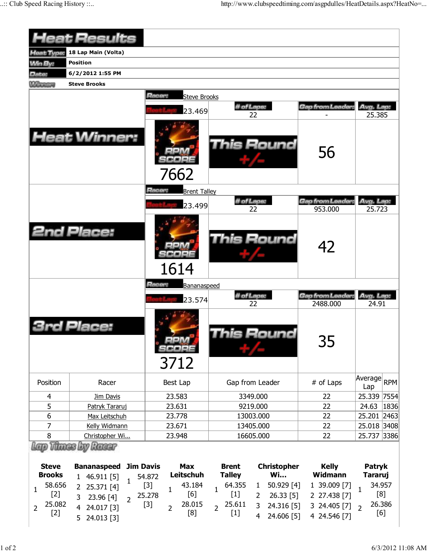|                                                                      | <b>Heat Results</b>                                                                                                                                 |                                                                                                        |                                                                                                                                                                                                         |                                                              |                                                                                    |
|----------------------------------------------------------------------|-----------------------------------------------------------------------------------------------------------------------------------------------------|--------------------------------------------------------------------------------------------------------|---------------------------------------------------------------------------------------------------------------------------------------------------------------------------------------------------------|--------------------------------------------------------------|------------------------------------------------------------------------------------|
| Heat Type:                                                           | 18 Lap Main (Volta)                                                                                                                                 |                                                                                                        |                                                                                                                                                                                                         |                                                              |                                                                                    |
| <b>Min By:</b>                                                       | <b>Position</b>                                                                                                                                     |                                                                                                        |                                                                                                                                                                                                         |                                                              |                                                                                    |
| Date:                                                                | 6/2/2012 1:55 PM                                                                                                                                    |                                                                                                        |                                                                                                                                                                                                         |                                                              |                                                                                    |
| <b>Winners</b>                                                       | <b>Steve Brooks</b>                                                                                                                                 |                                                                                                        |                                                                                                                                                                                                         |                                                              |                                                                                    |
|                                                                      | <b>Heat Winner:</b>                                                                                                                                 | Racer:<br><b>Steve Brooks</b><br>23.469                                                                | # of Laps:<br>22                                                                                                                                                                                        | Gap from Leader,                                             | Avg. Lap:<br>25.385                                                                |
|                                                                      |                                                                                                                                                     | 7662                                                                                                   | <b>This Round</b>                                                                                                                                                                                       | 56                                                           |                                                                                    |
|                                                                      |                                                                                                                                                     | Racer:<br><b>Brent Talley</b>                                                                          |                                                                                                                                                                                                         |                                                              |                                                                                    |
|                                                                      |                                                                                                                                                     | 23.499                                                                                                 | # of Laps:                                                                                                                                                                                              | Gap from Leader.                                             | Avg. Lap:                                                                          |
|                                                                      | <b>2nd Place:</b>                                                                                                                                   | 1614                                                                                                   | 22<br><b>This Round</b>                                                                                                                                                                                 | 953.000<br>42                                                | 25.723                                                                             |
|                                                                      |                                                                                                                                                     | Racer:<br>Bananaspeed                                                                                  |                                                                                                                                                                                                         |                                                              |                                                                                    |
|                                                                      |                                                                                                                                                     | 23.574                                                                                                 | # of Laps:<br>22                                                                                                                                                                                        | Gap from Leader:<br>2488.000                                 | Avg. Lap:<br>24.91                                                                 |
|                                                                      | <b>3rd Place:</b>                                                                                                                                   | 3712                                                                                                   | is Round                                                                                                                                                                                                | חר<br>35                                                     |                                                                                    |
| Position                                                             | Racer                                                                                                                                               | Best Lap                                                                                               | Gap from Leader                                                                                                                                                                                         | # of Laps                                                    | Average<br><b>RPM</b><br>Lap                                                       |
| 4                                                                    | Jim Davis                                                                                                                                           | 23.583                                                                                                 | 3349.000                                                                                                                                                                                                | 22                                                           | 25.339 7554                                                                        |
| 5                                                                    | Patryk Tararuj                                                                                                                                      | 23.631                                                                                                 | 9219.000                                                                                                                                                                                                | 22                                                           | 24.63<br>1836                                                                      |
| 6                                                                    | Max Leitschuh                                                                                                                                       | 23.778                                                                                                 | 13003.000                                                                                                                                                                                               | 22                                                           | 25.201 2463                                                                        |
| 7                                                                    | Kelly Widmann                                                                                                                                       | 23.671                                                                                                 | 13405.000                                                                                                                                                                                               | 22                                                           | 25.018 3408                                                                        |
| 8                                                                    | Christopher Wi                                                                                                                                      | 23.948                                                                                                 | 16605.000                                                                                                                                                                                               | 22                                                           | 25.737 3386                                                                        |
|                                                                      | <b>Thunes by Ranger</b>                                                                                                                             |                                                                                                        |                                                                                                                                                                                                         |                                                              |                                                                                    |
| <b>Steve</b><br><b>Brooks</b>                                        | <b>Jim Davis</b><br><b>Bananaspeed</b>                                                                                                              | <b>Max</b><br>Leitschuh                                                                                | <b>Brent</b><br><b>Christopher</b><br><b>Wi</b>                                                                                                                                                         | <b>Kelly</b><br><b>Widmann</b>                               | Patryk                                                                             |
| 58.656<br>$\mathbf{1}$<br>$[2]$<br>25.082<br>$\overline{2}$<br>$[2]$ | 1 46.911 [5]<br>$\mathbf{1}$<br>25.371 [4]<br>$\overline{2}$<br>3<br>23.96 [4]<br>$\overline{2}$<br>24.017 [3]<br>$\overline{4}$<br>5<br>24.013 [3] | 54.872<br>$[3]$<br>43.184<br>$\mathbf{1}$<br>[6]<br>25.278<br>28.015<br>$[3]$<br>$\overline{2}$<br>[8] | <b>Talley</b><br>50.929 [4]<br>64.355<br>$\mathbf{1}$<br>$\mathbf{1}$<br>$[1]$<br>$26.33$ [5]<br>$\overline{2}$<br>25.611<br>3<br>24.316 [5]<br>$\overline{2}$<br>$[1]$<br>$\overline{4}$<br>24.606 [5] | 1 39.009 [7]<br>2 27.438 [7]<br>3 24.405 [7]<br>4 24.546 [7] | <b>Tararuj</b><br>34.957<br>$\mathbf{1}$<br>[8]<br>26.386<br>$\overline{2}$<br>[6] |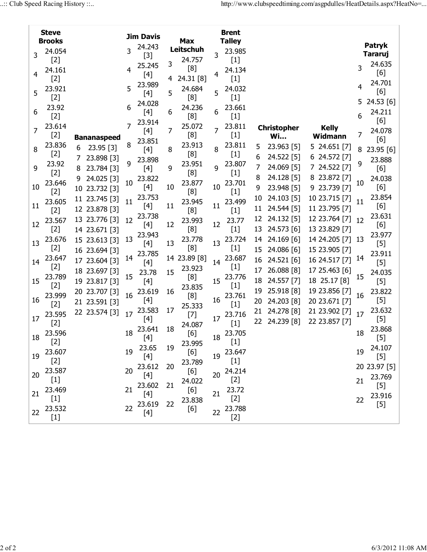|    | <b>Steve</b>                                                                                                                                                                       |                    |    | <b>Jim Davis</b> |    |                         |    | <b>Brent</b>  |    |                    |                  |    |                |
|----|------------------------------------------------------------------------------------------------------------------------------------------------------------------------------------|--------------------|----|------------------|----|-------------------------|----|---------------|----|--------------------|------------------|----|----------------|
|    | <b>Brooks</b>                                                                                                                                                                      |                    |    | 24.243           |    | <b>Max</b><br>Leitschuh |    | <b>Talley</b> |    |                    |                  |    | Patryk         |
| 3  | 24.054                                                                                                                                                                             |                    | 3  | $[3]$            |    |                         | 3  | 23.985        |    |                    |                  |    | <b>Tararuj</b> |
|    | $[2]$                                                                                                                                                                              |                    |    | 25.245           | 3  | 24.757                  |    | $[1]$         |    |                    |                  |    | 24.635         |
| 4  | 24.161                                                                                                                                                                             |                    |    | $[4]$            |    | [8]                     |    | 24.134        |    |                    |                  | 3  | [6]            |
|    | $[2]$                                                                                                                                                                              |                    |    | 23.989           | 4  | 24.31 [8]               |    | $[1]$         |    |                    |                  |    | 24.701         |
| 5  | 23.921                                                                                                                                                                             |                    | 5  | $[4]$            | 5  | 24.684                  | 5  | 24.032        |    |                    |                  | 4  | [6]            |
|    | $[2]$                                                                                                                                                                              |                    |    |                  |    | [8]                     |    | $[1]$         |    |                    |                  | 5. | 24.53 [6]      |
|    | 23.92                                                                                                                                                                              |                    | 6  | 24.028           |    | 24.236                  | 6  | 23.661        |    |                    |                  |    |                |
| 6  | $[2]$                                                                                                                                                                              |                    |    | [4]              | 6  | [8]                     |    | $[1]$         |    |                    |                  | 6  | 24.211         |
|    | 23.614                                                                                                                                                                             |                    | 7  | 23.914           |    | 25.072                  |    | 23.811        |    | <b>Christopher</b> | <b>Kelly</b>     |    | [6]            |
| 7  | $[2]$                                                                                                                                                                              | <b>Bananaspeed</b> |    | [4]              | 7  | [8]                     | 7  | $[1]$         |    | <b>Wi</b>          | Widmann          | 7  | 24.078         |
|    | 23.836                                                                                                                                                                             | 23.95 [3]<br>6     | 8  | 23.851           |    | 23.913                  |    | 23.811        | 5  | 23.963 [5]         | 5 24.651 [7]     |    | [6]            |
| 8  | $[2]$                                                                                                                                                                              |                    |    | $[4]$            | 8  | [8]                     | 8  | $[1]$         |    |                    |                  | 8  | 23.95 [6]      |
|    | 23.92                                                                                                                                                                              | 23.898 [3]<br>7    | 9  | 23.898           |    | 23.951                  |    | 23.807        | 6  | 24.522 [5]         | 6 24.572 [7]     | 9  | 23.888         |
| 9  | $[2]$                                                                                                                                                                              | 23.784 [3]<br>8    |    | $[4]$            | 9  | [8]                     | 9  | $[1]$         | 7  | 24.069 [5]         | 7 24.522 [7]     |    | [6]            |
|    | 23.646                                                                                                                                                                             | 24.025 [3]<br>9    | 10 | 23.822           |    | 23.877                  |    | 23.701        | 8  | 24.128 [5]         | 8 23.872 [7]     | 10 | 24.038         |
| 10 | $[2]$                                                                                                                                                                              | 10 23.732 [3]      |    | [4]              | 10 | [8]                     | 10 | $[1]$         | 9  | 23.948 [5]         | 9 23.739 [7]     |    | [6]            |
|    | 23.605                                                                                                                                                                             | 11 23.745 [3]      | 11 | 23.753           |    | 23.945                  |    | 23.499        | 10 | 24.103 [5]         | 10 23.715 [7]    | 11 | 23.854         |
| 11 | $[2]$                                                                                                                                                                              | 12 23.878 [3]      |    | $[4]$            | 11 | [8]                     | 11 | $[1]$         | 11 | 24.544 [5]         | 11 23.795 [7]    |    | [6]            |
|    | 23.567                                                                                                                                                                             | 13 23.776 [3]      | 12 | 23.738           |    |                         |    |               | 12 | 24.132 [5]         | 12 23.764 [7] 12 |    | 23.631         |
| 12 |                                                                                                                                                                                    |                    |    | $[4]$            | 12 | 23.993<br>[8]           | 12 | 23.77         | 13 | 24.573 [6]         | 13 23.829 [7]    |    | [6]            |
|    | $[2]$                                                                                                                                                                              | 14 23.671 [3]      |    | 23.943           |    |                         |    | $[1]$         |    |                    |                  |    | 23.977         |
| 13 | 23.676                                                                                                                                                                             | 15 23.613 [3]      | 13 | $[4]$            | 13 | 23.778                  | 13 | 23.724        | 14 | 24.169 [6]         | 14 24.205 [7] 13 |    | $[5]$          |
|    | $[2]$                                                                                                                                                                              | 16 23.694 [3]      |    | 23.785           |    | [8]                     |    | $[1]$         | 15 | 24.086 [6]         | 15 23.905 [7]    |    | 23.911         |
| 14 | 23.647                                                                                                                                                                             | 17 23.604 [3]      | 14 | $[4]$            |    | 14 23.89 [8]            | 14 | 23.687        | 16 | 24.521 [6]         | 16 24.517 [7]    | 14 | $[5]$          |
|    | $[2]$                                                                                                                                                                              | 18 23.697 [3]      |    | 23.78            | 15 | 23.923                  |    | $[1]$         | 17 | 26.088 [8]         | 17 25.463 [6]    |    | 24.035         |
| 15 | 23.789                                                                                                                                                                             | 19 23.817 [3]      | 15 | $[4]$            |    | [8]                     | 15 | 23.776        | 18 | 24.557 [7]         | 18 25.17 [8]     | 15 | $[5]$          |
|    | $[2]$                                                                                                                                                                              | 20 23.707 [3]      |    | 23.619           | 16 | 23.835                  |    | $[1]$         | 19 | 25.918 [8]         | 19 23.856 [7]    |    | 23.822         |
| 16 | 23.999                                                                                                                                                                             |                    | 16 | [4]              |    | [8]                     | 16 | 23.761        | 20 | 24.203 [8]         | 20 23.671 [7]    | 16 | $[5]$          |
|    | $[2]$                                                                                                                                                                              | 21 23.591 [3]      |    | 23.583           | 17 | 25.333                  |    | $[1]$         |    |                    |                  |    | 23.632         |
| 17 | 23.595                                                                                                                                                                             | 22 23.574 [3]      | 17 | $[4]$            |    | $[7]$                   | 17 | 23.716        | 21 | 24.278 [8]         | 21 23.902 [7]    | 17 | $[5]$          |
|    | $[2]$                                                                                                                                                                              |                    |    | 23.641           | 18 | 24.087                  |    | $[1]$         | 22 | 24.239 [8]         | 22 23.857 [7]    |    | 23.868         |
| 18 | 23.596                                                                                                                                                                             |                    | 18 |                  |    | [6]                     | 18 | 23.705        |    |                    |                  | 18 |                |
|    | $[2]$                                                                                                                                                                              |                    |    | $[4]$            |    | 23.995                  |    | $[1]$         |    |                    |                  |    | $[5]$          |
| 19 | 23.607                                                                                                                                                                             |                    | 19 | 23.65            | 19 | [6]                     | 19 | 23.647        |    |                    |                  | 19 | 24.107         |
|    | $[2]$                                                                                                                                                                              |                    |    | $[4]$            |    | 23.789                  |    | $[1]$         |    |                    |                  |    | $[5]$          |
|    | 23.587                                                                                                                                                                             |                    | 20 | 23.612           | 20 | [6]                     |    | 24.214        |    |                    |                  |    | 20 23.97 [5]   |
| 20 | $[1] % \includegraphics[width=0.9\columnwidth]{figures/fig_10.pdf} \caption{The figure shows the number of times of the estimators in the left and right.} \label{fig:fig:time} %$ |                    |    |                  |    | 24.022                  | 20 | $[2]$         |    |                    |                  | 21 | 23.769         |
|    | 23.469                                                                                                                                                                             |                    | 21 | 23.602           | 21 | [6]                     |    | 23.72         |    |                    |                  |    | $[5]$          |
| 21 | $[1]$                                                                                                                                                                              |                    |    | $[4]$            |    | 23.838                  | 21 | $[2]$         |    |                    |                  | 22 | 23.916         |
|    | 23.532                                                                                                                                                                             |                    | 22 | 23.619           | 22 | [6]                     |    | 23.788        |    |                    |                  |    | $[5]$          |
| 22 | $[1]$                                                                                                                                                                              |                    |    |                  |    |                         | 22 | $[2]$         |    |                    |                  |    |                |
|    |                                                                                                                                                                                    |                    |    |                  |    |                         |    |               |    |                    |                  |    |                |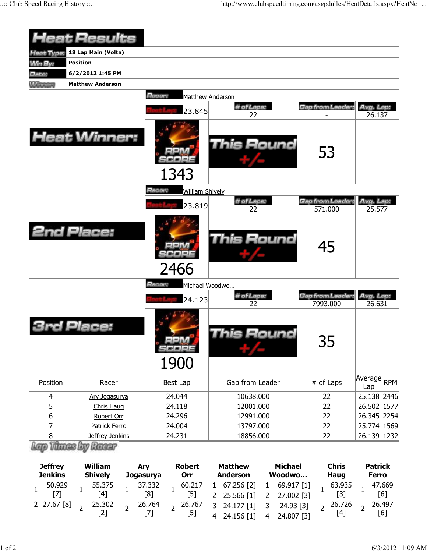|                                      | <b>Heat Results</b>                             |                                                  |                                                                         |                                 |                                |  |  |  |  |  |  |  |  |  |
|--------------------------------------|-------------------------------------------------|--------------------------------------------------|-------------------------------------------------------------------------|---------------------------------|--------------------------------|--|--|--|--|--|--|--|--|--|
| <b>Heat Type:</b>                    | 18 Lap Main (Volta)<br><b>Position</b>          |                                                  |                                                                         |                                 |                                |  |  |  |  |  |  |  |  |  |
| <b>Min By:</b>                       | 6/2/2012 1:45 PM                                |                                                  |                                                                         |                                 |                                |  |  |  |  |  |  |  |  |  |
| Date:<br><b>M/Innings</b>            | <b>Matthew Anderson</b>                         |                                                  |                                                                         |                                 |                                |  |  |  |  |  |  |  |  |  |
|                                      |                                                 | Racer:                                           |                                                                         |                                 |                                |  |  |  |  |  |  |  |  |  |
|                                      |                                                 |                                                  | Matthew Anderson<br># of Laps:                                          | Gap from Leader:                |                                |  |  |  |  |  |  |  |  |  |
|                                      |                                                 | 23.845                                           | 22                                                                      |                                 | Avg. Lap:<br>26.137            |  |  |  |  |  |  |  |  |  |
|                                      | <b>Heat Winner:</b>                             | 1343                                             | <b>This Round</b>                                                       | 53                              |                                |  |  |  |  |  |  |  |  |  |
|                                      |                                                 | Racer:<br><b>William Shively</b>                 |                                                                         |                                 |                                |  |  |  |  |  |  |  |  |  |
|                                      |                                                 | 23.819                                           | # of Laps:                                                              | <b>Gap from Leader</b>          | Avg. Lap:                      |  |  |  |  |  |  |  |  |  |
|                                      |                                                 |                                                  | 22                                                                      | 571.000                         | 25.577                         |  |  |  |  |  |  |  |  |  |
|                                      | <b>2nd Place:</b>                               | 2466                                             | This Round                                                              | 45                              |                                |  |  |  |  |  |  |  |  |  |
|                                      |                                                 | Racer:                                           | Michael Woodwo                                                          |                                 |                                |  |  |  |  |  |  |  |  |  |
|                                      |                                                 | 24.123                                           | # of Laps:                                                              | Gap from Leader                 | Avg. Lap:                      |  |  |  |  |  |  |  |  |  |
|                                      |                                                 |                                                  |                                                                         |                                 |                                |  |  |  |  |  |  |  |  |  |
|                                      |                                                 | 1900                                             | 22<br>his Round                                                         | 7993.000<br>35                  | 26.631                         |  |  |  |  |  |  |  |  |  |
| Position                             | Racer                                           | Best Lap                                         | Gap from Leader                                                         | # of Laps                       | Average RPM<br>Lap             |  |  |  |  |  |  |  |  |  |
| 4                                    | Ary Jogasurya                                   | 24.044                                           | 10638.000                                                               | 22                              | 25.138 2446                    |  |  |  |  |  |  |  |  |  |
| 5                                    | Chris Haug                                      | 24.118                                           | 12001.000                                                               | 22                              | 26.502 1577                    |  |  |  |  |  |  |  |  |  |
| $6\,$                                | Robert Orr                                      | 24.296                                           | 12991.000                                                               | 22                              | 26.345 2254                    |  |  |  |  |  |  |  |  |  |
| 7                                    | Patrick Ferro                                   | 24.004                                           | 13797.000                                                               | 22                              | 25.774 1569                    |  |  |  |  |  |  |  |  |  |
| 8                                    | Jeffrey Jenkins                                 | 24.231                                           | 18856.000                                                               | 22                              | 26.139 1232                    |  |  |  |  |  |  |  |  |  |
|                                      | Racer                                           |                                                  |                                                                         |                                 |                                |  |  |  |  |  |  |  |  |  |
| <b>Jeffrey</b><br><b>Jenkins</b>     | <b>William</b><br><b>Shively</b><br>Jogasurya   | Ary<br><b>Robert</b><br>Orr                      | <b>Matthew</b><br><b>Michael</b><br><b>Anderson</b><br>Woodwo           | <b>Chris</b><br><b>Haug</b>     | <b>Patrick</b><br><b>Ferro</b> |  |  |  |  |  |  |  |  |  |
| 50.929                               | 55.375                                          | 60.217<br>37.332                                 | 67.256 [2]<br>69.917 [1]<br>$\mathbf{1}$<br>$\mathbf{1}$                | 63.935                          | 47.669                         |  |  |  |  |  |  |  |  |  |
| $\mathbf{1}$<br>$[7]$<br>2 27.67 [8] | $\mathbf{1}$<br>$\mathbf{1}$<br>$[4]$<br>25.302 | $\mathbf{1}$<br>[8]<br>$[5]$<br>26.764<br>26.767 | 25.566 [1]<br>27.002 [3]<br>2<br>2<br>3<br>24.177 [1]<br>3<br>24.93 [3] | $\mathbf{1}$<br>$[3]$<br>26.726 | $\mathbf{1}$<br>[6]<br>26.497  |  |  |  |  |  |  |  |  |  |